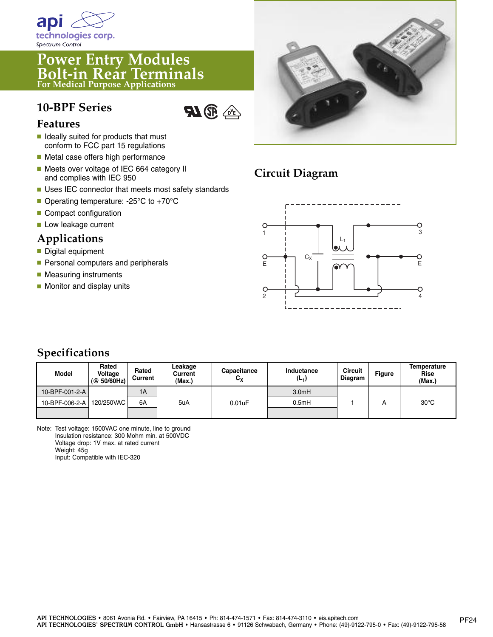

#### **Power Entry Modules Bolt-in Rear Terminals For Medical Purpose Applications**

## **10-BPF Series**



#### **Features**

- **■** Ideally suited for products that must conform to FCC part 15 regulations
- Metal case offers high performance
- Meets over voltage of IEC 664 category II and complies with IEC 950
- Uses IEC connector that meets most safety standards
- Operating temperature: -25°C to +70°C
- Compact configuration
- Low leakage current

#### **Applications**

- Digital equipment
- Personal computers and peripherals
- Measuring instruments
- Monitor and display units



# **Circuit Diagram**



### **Specifications**

| Model          | Rated<br>Voltage<br>(@ 50/60 Hz) | Rated<br>Current | ∟eakage<br>Current<br>(Max.) | Capacitance<br>$c_{x}$ | Inductance<br>(L <sub>1</sub> ) | <b>Circuit</b><br>Diagram | <b>Figure</b> | Temperature<br>Rise<br>(Max.) |
|----------------|----------------------------------|------------------|------------------------------|------------------------|---------------------------------|---------------------------|---------------|-------------------------------|
| 10-BPF-001-2-A |                                  | 1A               |                              |                        | 3.0mH                           |                           |               |                               |
| 10-BPF-006-2-A | 120/250VAC                       | 6A               | 5uA                          | 0.01uF                 | 0.5mH                           |                           |               | $30^{\circ}$ C                |
|                |                                  |                  |                              |                        |                                 |                           |               |                               |

Note: Test voltage: 1500VAC one minute, line to ground Insulation resistance: 300 Mohm min. at 500VDC Voltage drop: 1V max. at rated current Weight: 45g Input: Compatible with IEC-320